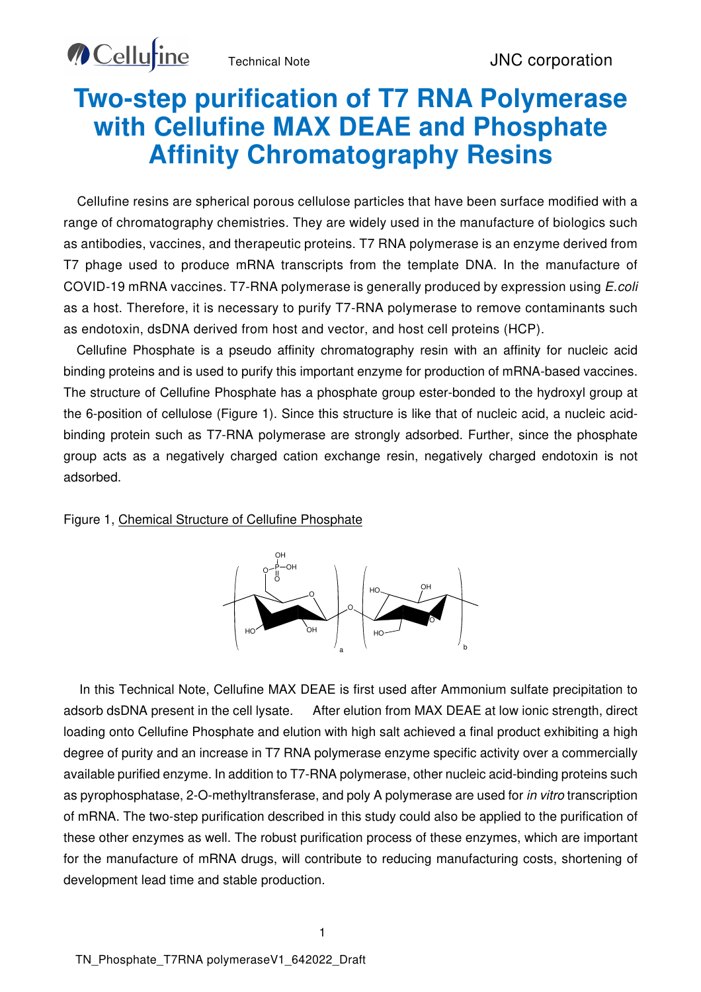**Cellu**tine

## **Two-step purification of T7 RNA Polymerase with Cellufine MAX DEAE and Phosphate Affinity Chromatography Resins**

Cellufine resins are spherical porous cellulose particles that have been surface modified with a range of chromatography chemistries. They are widely used in the manufacture of biologics such as antibodies, vaccines, and therapeutic proteins. T7 RNA polymerase is an enzyme derived from T7 phage used to produce mRNA transcripts from the template DNA. In the manufacture of COVID-19 mRNA vaccines. T7-RNA polymerase is generally produced by expression using E.coli as a host. Therefore, it is necessary to purify T7-RNA polymerase to remove contaminants such as endotoxin, dsDNA derived from host and vector, and host cell proteins (HCP).

Cellufine Phosphate is a pseudo affinity chromatography resin with an affinity for nucleic acid binding proteins and is used to purify this important enzyme for production of mRNA-based vaccines. The structure of Cellufine Phosphate has a phosphate group ester-bonded to the hydroxyl group at the 6-position of cellulose (Figure 1). Since this structure is like that of nucleic acid, a nucleic acidbinding protein such as T7-RNA polymerase are strongly adsorbed. Further, since the phosphate group acts as a negatively charged cation exchange resin, negatively charged endotoxin is not adsorbed.

#### Figure 1, Chemical Structure of Cellufine Phosphate



In this Technical Note, Cellufine MAX DEAE is first used after Ammonium sulfate precipitation to adsorb dsDNA present in the cell lysate. After elution from MAX DEAE at low ionic strength, direct loading onto Cellufine Phosphate and elution with high salt achieved a final product exhibiting a high degree of purity and an increase in T7 RNA polymerase enzyme specific activity over a commercially available purified enzyme. In addition to T7-RNA polymerase, other nucleic acid-binding proteins such as pyrophosphatase, 2-O-methyltransferase, and poly A polymerase are used for in vitro transcription of mRNA. The two-step purification described in this study could also be applied to the purification of these other enzymes as well. The robust purification process of these enzymes, which are important for the manufacture of mRNA drugs, will contribute to reducing manufacturing costs, shortening of development lead time and stable production.

1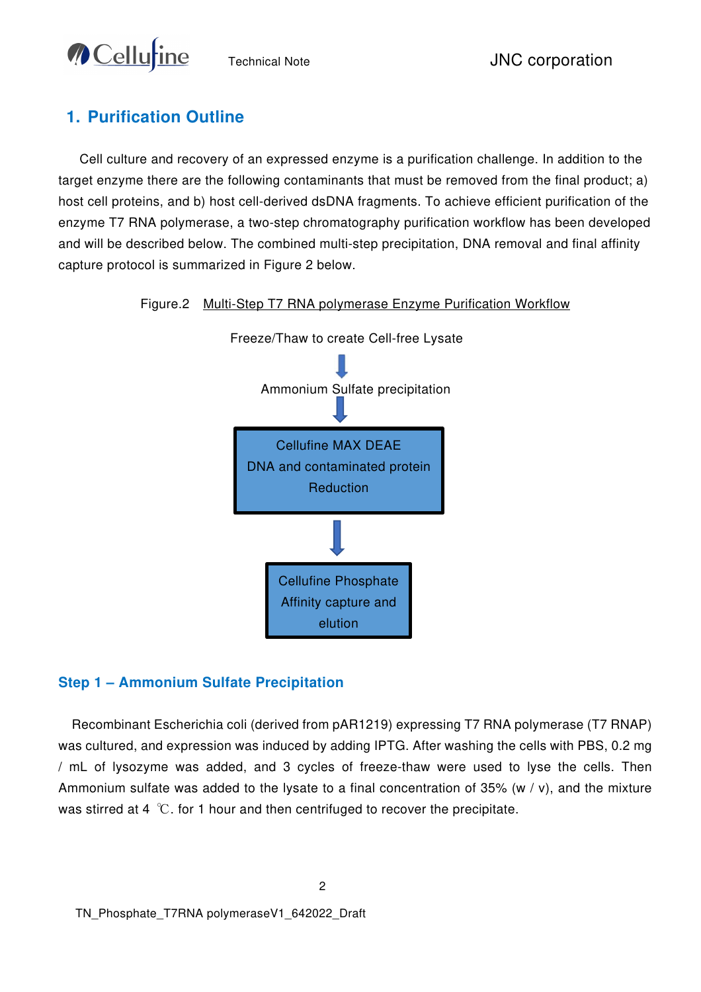

## **1. Purification Outline**

Cell culture and recovery of an expressed enzyme is a purification challenge. In addition to the target enzyme there are the following contaminants that must be removed from the final product; a) host cell proteins, and b) host cell-derived dsDNA fragments. To achieve efficient purification of the enzyme T7 RNA polymerase, a two-step chromatography purification workflow has been developed and will be described below. The combined multi-step precipitation, DNA removal and final affinity capture protocol is summarized in Figure 2 below.

#### Figure.2 Multi-Step T7 RNA polymerase Enzyme Purification Workflow



#### **Step 1 – Ammonium Sulfate Precipitation**

Recombinant Escherichia coli (derived from pAR1219) expressing T7 RNA polymerase (T7 RNAP) was cultured, and expression was induced by adding IPTG. After washing the cells with PBS, 0.2 mg / mL of lysozyme was added, and 3 cycles of freeze-thaw were used to lyse the cells. Then Ammonium sulfate was added to the lysate to a final concentration of 35% (w / v), and the mixture was stirred at 4 ℃. for 1 hour and then centrifuged to recover the precipitate.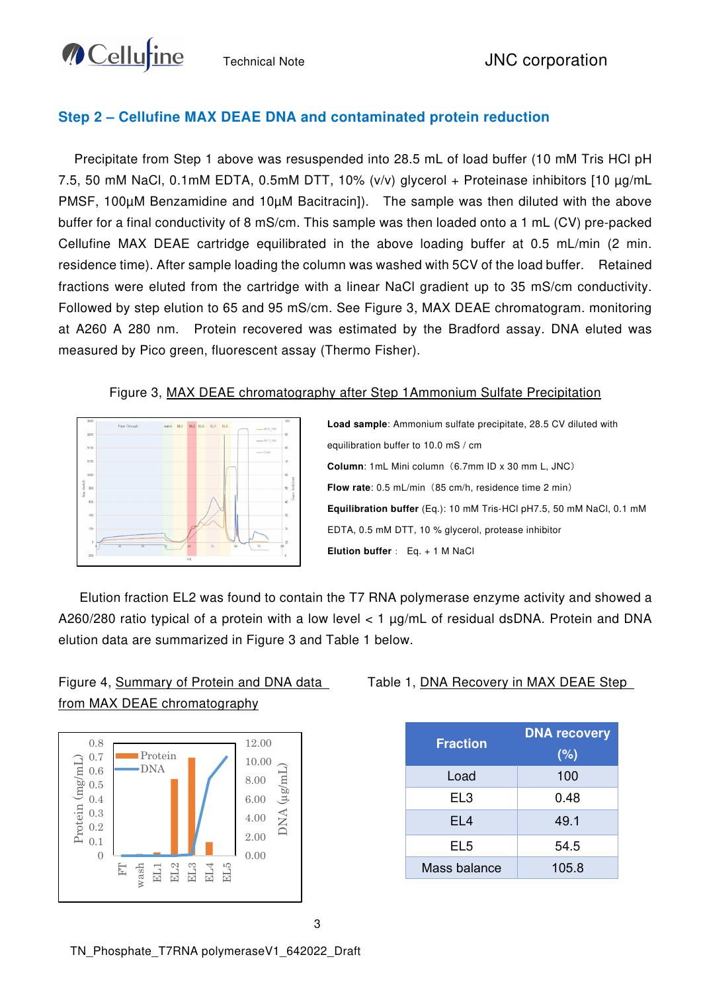**O** Cellurine

## **Step 2 – Cellufine MAX DEAE DNA and contaminated protein reduction**

Precipitate from Step 1 above was resuspended into 28.5 mL of load buffer (10 mM Tris HCl pH 7.5, 50 mM NaCl, 0.1mM EDTA, 0.5mM DTT, 10% (v/v) glycerol + Proteinase inhibitors [10 µg/mL PMSF, 100µM Benzamidine and 10µM Bacitracin]). The sample was then diluted with the above buffer for a final conductivity of 8 mS/cm. This sample was then loaded onto a 1 mL (CV) pre-packed Cellufine MAX DEAE cartridge equilibrated in the above loading buffer at 0.5 mL/min (2 min. residence time). After sample loading the column was washed with 5CV of the load buffer. Retained fractions were eluted from the cartridge with a linear NaCl gradient up to 35 mS/cm conductivity. Followed by step elution to 65 and 95 mS/cm. See Figure 3, MAX DEAE chromatogram. monitoring at A260 A 280 nm. Protein recovered was estimated by the Bradford assay. DNA eluted was measured by Pico green, fluorescent assay (Thermo Fisher).

#### Figure 3, MAX DEAE chromatography after Step 1Ammonium Sulfate Precipitation



**Load sample**: Ammonium sulfate precipitate, 28.5 CV diluted with equilibration buffer to 10.0 mS / cm **Column:** 1mL Mini column (6.7mm ID x 30 mm L, JNC) **Flow rate**: 0.5 mL/min (85 cm/h, residence time 2 min) **Equilibration buffer** (Eq.): 10 mM Tris-HCl pH7.5, 50 mM NaCl, 0.1 mM EDTA, 0.5 mM DTT, 10 % glycerol, protease inhibitor **Elution buffer**: Eq. + 1 M NaCl

Elution fraction EL2 was found to contain the T7 RNA polymerase enzyme activity and showed a A260/280 ratio typical of a protein with a low level < 1 µg/mL of residual dsDNA. Protein and DNA elution data are summarized in Figure 3 and Table 1 below.



## Figure 4, Summary of Protein and DNA data from MAX DEAE chromatography

#### Table 1, DNA Recovery in MAX DEAE Step

| <b>Fraction</b> | <b>DNA recovery</b><br>(%) |  |
|-----------------|----------------------------|--|
| Load            | 100                        |  |
| EL <sub>3</sub> | 0.48                       |  |
| EL <sub>4</sub> | 49.1                       |  |
| EL5             | 54.5                       |  |
| Mass balance    | 105.8                      |  |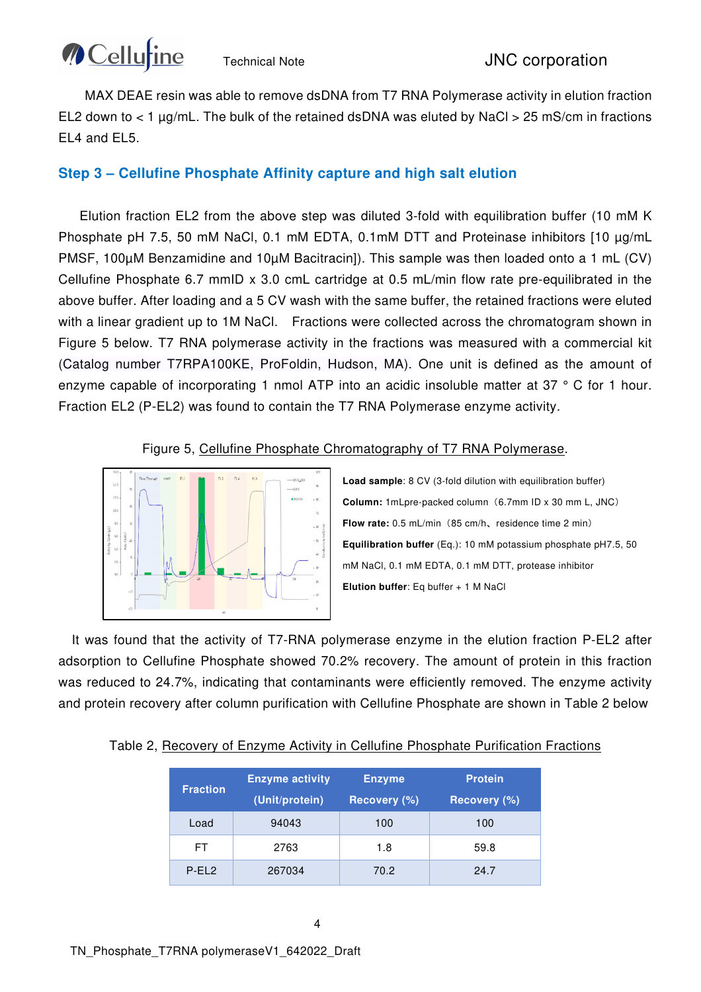MAX DEAE resin was able to remove dsDNA from T7 RNA Polymerase activity in elution fraction EL2 down to  $< 1 \mu$ g/mL. The bulk of the retained dsDNA was eluted by NaCl  $> 25 \text{ mS/cm}$  in fractions EL4 and EL5.

### **Step 3 – Cellufine Phosphate Affinity capture and high salt elution**

Elution fraction EL2 from the above step was diluted 3-fold with equilibration buffer (10 mM K Phosphate pH 7.5, 50 mM NaCl, 0.1 mM EDTA, 0.1mM DTT and Proteinase inhibitors [10 µg/mL PMSF, 100µM Benzamidine and 10µM Bacitracin]). This sample was then loaded onto a 1 mL (CV) Cellufine Phosphate 6.7 mmID x 3.0 cmL cartridge at 0.5 mL/min flow rate pre-equilibrated in the above buffer. After loading and a 5 CV wash with the same buffer, the retained fractions were eluted with a linear gradient up to 1M NaCl. Fractions were collected across the chromatogram shown in Figure 5 below. T7 RNA polymerase activity in the fractions was measured with a commercial kit (Catalog number T7RPA100KE, ProFoldin, Hudson, MA). One unit is defined as the amount of enzyme capable of incorporating 1 nmol ATP into an acidic insoluble matter at 37 ° C for 1 hour. Fraction EL2 (P-EL2) was found to contain the T7 RNA Polymerase enzyme activity.

#### Figure 5, Cellufine Phosphate Chromatography of T7 RNA Polymerase.



**Load sample**: 8 CV (3-fold dilution with equilibration buffer) **Column:** 1mLpre-packed column(6.7mm ID x 30 mm L, JNC) Flow rate:  $0.5$  mL/min (85 cm/h, residence time 2 min) **Equilibration buffer** (Eq.): 10 mM potassium phosphate pH7.5, 50 mM NaCl, 0.1 mM EDTA, 0.1 mM DTT, protease inhibitor **Elution buffer**: Eq buffer + 1 M NaCl

It was found that the activity of T7-RNA polymerase enzyme in the elution fraction P-EL2 after adsorption to Cellufine Phosphate showed 70.2% recovery. The amount of protein in this fraction was reduced to 24.7%, indicating that contaminants were efficiently removed. The enzyme activity and protein recovery after column purification with Cellufine Phosphate are shown in Table 2 below

| <b>Fraction</b> | <b>Enzyme activity</b><br>(Unit/protein) | <b>Enzyme</b><br>Recovery (%) | <b>Protein</b><br>Recovery (%) |
|-----------------|------------------------------------------|-------------------------------|--------------------------------|
| Load            | 94043                                    | 100                           | 100                            |
| FT.             | 2763                                     | 1.8                           | 59.8                           |
| $P-EL2$         | 267034                                   | 70.2                          | 24.7                           |

#### Table 2, Recovery of Enzyme Activity in Cellufine Phosphate Purification Fractions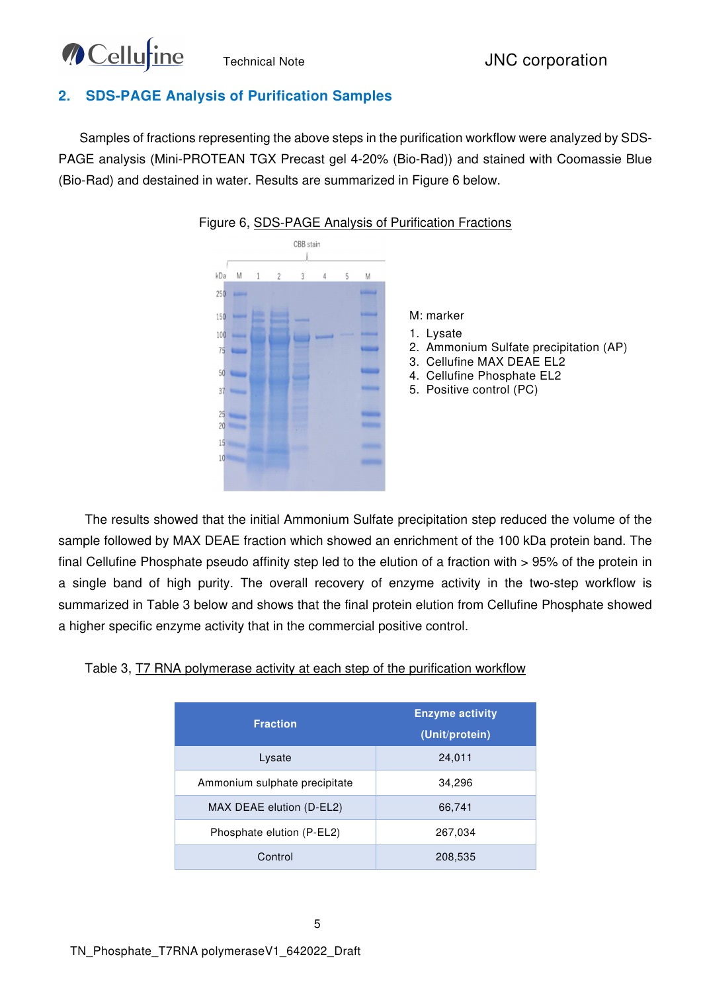# **MCellu**tine

## **2. SDS-PAGE Analysis of Purification Samples**

Samples of fractions representing the above steps in the purification workflow were analyzed by SDS-PAGE analysis (Mini-PROTEAN TGX Precast gel 4-20% (Bio-Rad)) and stained with Coomassie Blue (Bio-Rad) and destained in water. Results are summarized in Figure 6 below.



#### Figure 6, SDS-PAGE Analysis of Purification Fractions

The results showed that the initial Ammonium Sulfate precipitation step reduced the volume of the sample followed by MAX DEAE fraction which showed an enrichment of the 100 kDa protein band. The final Cellufine Phosphate pseudo affinity step led to the elution of a fraction with > 95% of the protein in a single band of high purity. The overall recovery of enzyme activity in the two-step workflow is summarized in Table 3 below and shows that the final protein elution from Cellufine Phosphate showed a higher specific enzyme activity that in the commercial positive control.

| Table 3, T7 RNA polymerase activity at each step of the purification workflow |
|-------------------------------------------------------------------------------|
|-------------------------------------------------------------------------------|

| <b>Fraction</b>               | <b>Enzyme activity</b><br>(Unit/protein) |  |
|-------------------------------|------------------------------------------|--|
| Lysate                        | 24,011                                   |  |
| Ammonium sulphate precipitate | 34,296                                   |  |
| MAX DEAE elution (D-EL2)      | 66,741                                   |  |
| Phosphate elution (P-EL2)     | 267,034                                  |  |
| Control                       | 208,535                                  |  |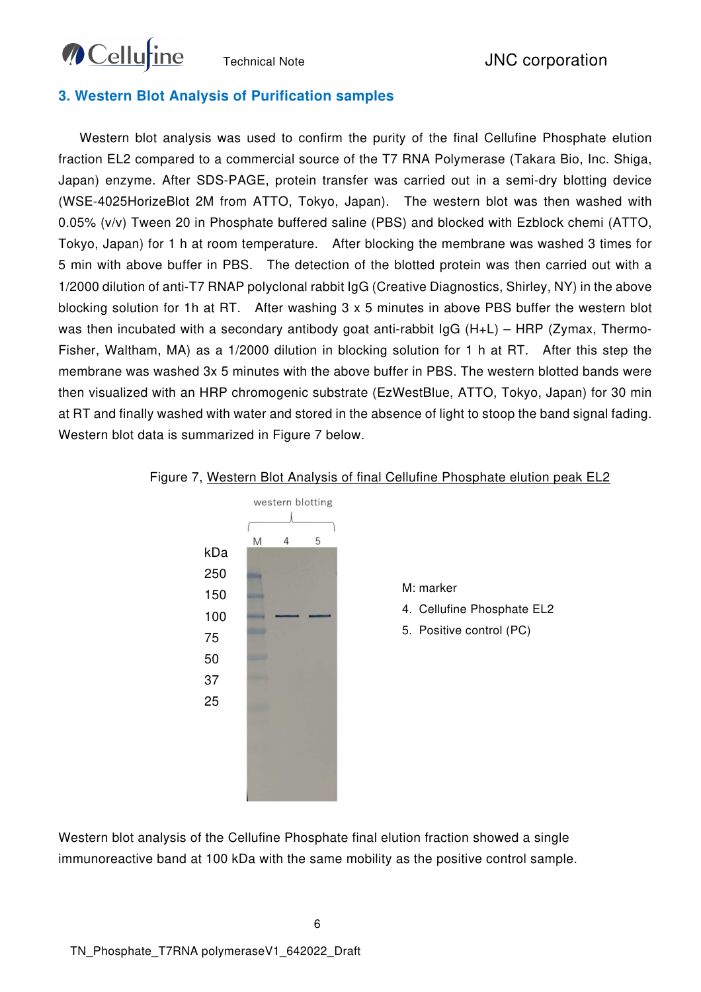

#### **3. Western Blot Analysis of Purification samples**

Western blot analysis was used to confirm the purity of the final Cellufine Phosphate elution fraction EL2 compared to a commercial source of the T7 RNA Polymerase (Takara Bio, Inc. Shiga, Japan) enzyme. After SDS-PAGE, protein transfer was carried out in a semi-dry blotting device (WSE-4025HorizeBlot 2M from ATTO, Tokyo, Japan). The western blot was then washed with 0.05% (v/v) Tween 20 in Phosphate buffered saline (PBS) and blocked with Ezblock chemi (ATTO, Tokyo, Japan) for 1 h at room temperature. After blocking the membrane was washed 3 times for 5 min with above buffer in PBS. The detection of the blotted protein was then carried out with a 1/2000 dilution of anti-T7 RNAP polyclonal rabbit IgG (Creative Diagnostics, Shirley, NY) in the above blocking solution for 1h at RT. After washing 3 x 5 minutes in above PBS buffer the western blot was then incubated with a secondary antibody goat anti-rabbit IgG (H+L) – HRP (Zymax, Thermo-Fisher, Waltham, MA) as a 1/2000 dilution in blocking solution for 1 h at RT. After this step the membrane was washed 3x 5 minutes with the above buffer in PBS. The western blotted bands were then visualized with an HRP chromogenic substrate (EzWestBlue, ATTO, Tokyo, Japan) for 30 min at RT and finally washed with water and stored in the absence of light to stoop the band signal fading. Western blot data is summarized in Figure 7 below.



#### Figure 7, Western Blot Analysis of final Cellufine Phosphate elution peak EL2

Western blot analysis of the Cellufine Phosphate final elution fraction showed a single immunoreactive band at 100 kDa with the same mobility as the positive control sample.

6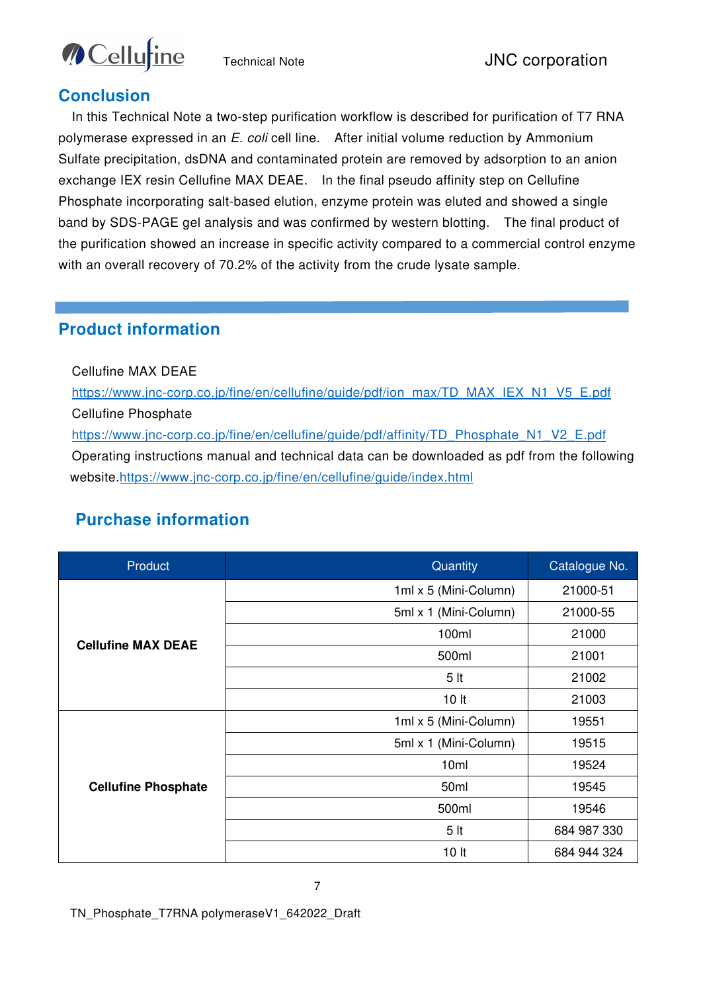

## **Conclusion**

In this Technical Note a two-step purification workflow is described for purification of T7 RNA polymerase expressed in an E. coli cell line. After initial volume reduction by Ammonium Sulfate precipitation, dsDNA and contaminated protein are removed by adsorption to an anion exchange IEX resin Cellufine MAX DEAE. In the final pseudo affinity step on Cellufine Phosphate incorporating salt-based elution, enzyme protein was eluted and showed a single band by SDS-PAGE gel analysis and was confirmed by western blotting. The final product of the purification showed an increase in specific activity compared to a commercial control enzyme with an overall recovery of 70.2% of the activity from the crude lysate sample.

## **Product information**

Cellufine MAX DEAE

https://www.jnc-corp.co.jp/fine/en/cellufine/guide/pdf/ion\_max/TD\_MAX\_IEX\_N1\_V5\_E.pdf Cellufine Phosphate https://www.jnc-corp.co.jp/fine/en/cellufine/guide/pdf/affinity/TD\_Phosphate\_N1\_V2\_E.pdf

Operating instructions manual and technical data can be downloaded as pdf from the following website.https://www.jnc-corp.co.jp/fine/en/cellufine/guide/index.html

## **Purchase information**

| Product                    | Quantity              | Catalogue No. |
|----------------------------|-----------------------|---------------|
| <b>Cellufine MAX DEAE</b>  | 1ml x 5 (Mini-Column) | 21000-51      |
|                            | 5ml x 1 (Mini-Column) | 21000-55      |
|                            | 100ml                 | 21000         |
|                            | 500ml                 | 21001         |
|                            | 5 <sub>it</sub>       | 21002         |
|                            | 10 <sub>lt</sub>      | 21003         |
| <b>Cellufine Phosphate</b> | 1ml x 5 (Mini-Column) | 19551         |
|                            | 5ml x 1 (Mini-Column) | 19515         |
|                            | 10 <sub>ml</sub>      | 19524         |
|                            | 50ml                  | 19545         |
|                            | 500ml                 | 19546         |
|                            | 5 <sub>lt</sub>       | 684 987 330   |
|                            | 10 <sub>h</sub>       | 684 944 324   |